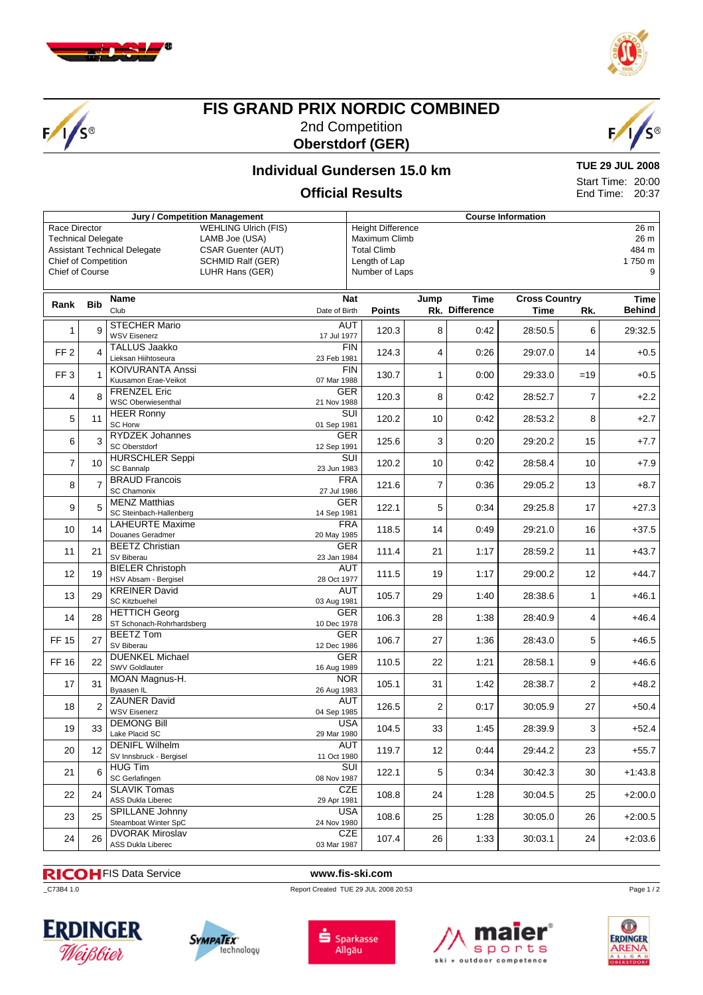





# **FIS GRAND PRIX NORDIC COMBINED** 2nd Competition **Oberstdorf (GER)**



# **Individual Gundersen 15.0 km Official Results**

**TUE 29 JUL 2008** Start Time: 20:00 End Time: 20:37

#### **Jury / Competition Management Course Information** Race Director WEHLING Ulrich (FIS)<br>Technical Delegate LAMB Joe (USA) **Technical Delegate** Assistant Technical Delegate CSAR Guenter (AUT) Chief of Competition SCHMID Ralf (GER) Chief of Course LUHR Hans (GER) Height Difference 26 m<br>
Maximum Climb 26 m<br>
26 m Maximum Climb Total Climb 484 m Length of Lap 1750 m Number of Laps 9 **Rank Bib Name** Club **Nat** Date of Birth **Jump Points Rk. Time Difference Cross Country Time Rk. Time Behind** 1 9 STECHER Mario AUT VICO EISEN MAND **120.3** 120.3 8 0:42 28:50.5 6 29:32.5 FF 2 4 TALLUS Jaakko FIN<br>23 Feb 1981 Lieksan Hiihtoseura 23 Feb 1981 124.3 4 0:26 29:07.0 14 +0.5 FF 3 1 KOIVURANTA Anssi FIN<br>
Kuusamon Frae-Veikot 07 Mar 1988 Kuusamon Erae-Veikot 07 Mar 1988 130.7 1 0:00 29:33.0 =19 +0.5 4 8 FRENZEL Eric GER<br>
WSC Oberwiesenthal<br>
21 Nov 1988 WSC Oberwiesenthal 21 Nov 1988 120.3 8 0:42 28:52.7 7 +2.2 5 11 HEER Ronny SUI<br>SC Horw 301 Sep 1981 SC Horw 01 Sep 1981 120.2 10 0:42 28:53.2 8 +2.7 6 3 RYDZEK Johannes GER<br>
SC Oberstdorf 12 Sep 1991 SC Oberstdorf 12 Sep 1991 125.6  $\begin{vmatrix} 3 & 0.20 & 29.20.2 & 15 \end{vmatrix}$  15 7 10 HURSCHLER Seppi SUI SC Bannalp 28:58.4 |  $23$  Jun 1983 |  $120.2$  |  $10$  |  $0.42$  |  $28:58.4$  |  $10$  |  $+7.9$ 8 7 BRAUD Francois FRA<br>
SC Chamonix 27 Jul 1986 SC Chamonix 27 Jul 1986 121.6 7 0:36 29:05.2 13 +8.7 9 5 MENZ Matthias GER SC Steinbach-Hallenberg 14 Sep 1981 122.1 5 0:34 29:25.8 17 +27.3 10 14 LAHEURTE Maxime FRA<br>
Douanes Geradmer 20 May 1985 <del>Douanes Geradmer 20 11985 1198</del><br>Douanes Geradmer 16 118.5 118.5 118.5 114 14 14 29:21.0 16 +37.5 11 21 BEETZ Christian GER<br>
23 Jan 1984<br>
23 Jan 1984  $SVDEN$  21 111.4 21 11.17 28:59.2 11 +43.7 12 19 BIELER Christoph AUT<br>
HSV Absam - Bergisel 28 Oct 1977 HELEN OMISIOPH<br>HSV Absam - Bergisel 28 Oct 1977 111.5 19 1:17 29:00.2 12 +44.7 13 29 KREINER David AUT SC Kitzbuehel 03 Aug 1981 105.7 29 1:40 28:38.6 1 +46.1 14 28 HETTICH Georg<br>
ST Schonach-Rohrhardsberg<br>
10 Dec 1978 HETTICH Georg<br>ST Schonach-Rohrhardsberg 10 Dec 1978 106.3 28 1:38 28:40.9 4 +46.4  $\begin{array}{|c|c|c|c|}\n\hline\n\text{FF 15} & 27 & \text{BEETZ Tom} \\
\hline\n\text{SLE} & & & \text{GER} \\
\hline\n\end{array}$  $SUSL12$  106.1 28:43.0  $SUSL12$  106.7 27  $27$  1:36 28:43.0 5  $+46.5$ FF 16 22 DUENKEL Michael GER<br>
SWV Goldlauter 16 Aug 1989 SULTVILLE MICHACH 20 AUGUST 110.5 22 1:21 28:58.1 9 +46.6 17 31 MOAN Magnus-H. NOR<br>
Byaasen IL 26 Aug 1983 MOAN Magnus 11.<br>Byaasen IL 26 Aug 1983 105.1 2 1:42 28:38.7 2 +48.2 18 2 ZAUNER David AUT 2 0:17 30:05.9 27 +50.4 19 33 DEMONG Bill USA<br>
19 33 Lake Placid SC 29 Mar 1980 Lake Placid SC 29 Mar 1980 104.5  $\begin{vmatrix} 0 & 3 \\ 2 & 4 \end{vmatrix}$  1.45  $\begin{vmatrix} 1 & 45 \\ 2 & 28 \end{vmatrix}$  3 +52.4 20 12 DENIFL Wilhelm AUT<br>
20 11 Oct 1980 SV Innsbruck - Bergisel 11 Oct 1980 119.7 12 0:44 29:44.2 23 +55.7 21 6 HUG Tim SUI SC Gerlafingen 08 Nov 1987 122.1 5 0:34 30:42.3 30 +1:43.8 22 24 SLAVIK Tomas CZE<br>29 Apr 1983 Dukla Liberec 29 Apr 1983 ASS Dukla Liberec 29 Apr 1981 108.8 24 1:28 30:04.5 25 +2:00.0 23 25 SPILLANE Johnny USA<br>
24 Nov 1980<br>
24 Nov 1980 SPILLANE JOININY<br>Steamboat Winter SpC 25 24 Nov 1980 108.6 25 1:28 30:05.0 26 +2:00.5 24 26 DVORAK Miroslav CZE<br>
24 26 ASS Dukla Liberec 03 Mar 1987 ASS Dukla Liberec 03 Mar 1987 107.4 26 1:33 30:03.1 24 +2:03.6

FIS Data Service **www.fis-ski.com**

\_C73B4 1.0 Report Created TUE 29 JUL 2008 20:53











Page 1 / 2